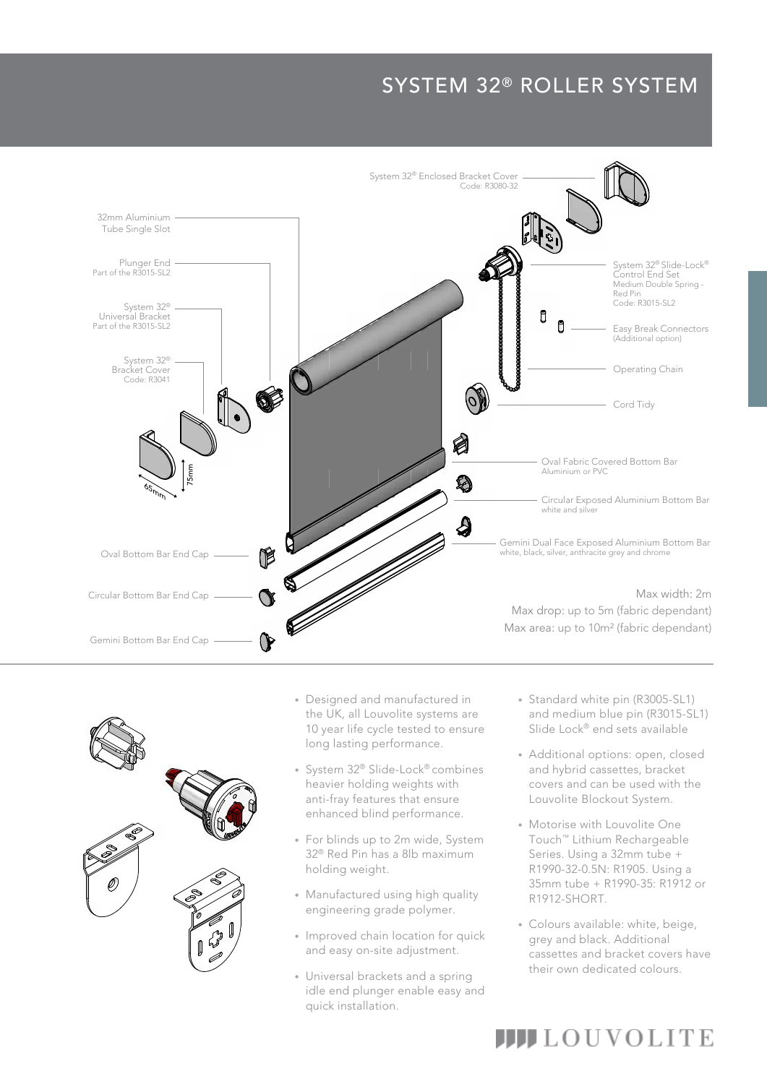## SYSTEM 32® ROLLER SYSTEM





- the OK, an Louvonte systems are<br>10 year life cycle tested to ensure the UK, all Louvolite systems are • Designed and manufactured in long lasting performance.
- System 32® Slide-Lock® combines heavier holding weights with anti-fray features that ensure enhanced blind performance.
- For blinds up to 2m wide, System 32® Red Pin has a 8lb maximum holding weight.
- Manufactured using high quality engineering grade polymer.
- Improved chain location for quick and easy on-site adjustment.
- Universal brackets and a spring idle end plunger enable easy and quick installation.
- and medium blue pin (R3015-SL1) • Standard white pin (R3005-SL1) Slide Lock<sup>®</sup> end sets available
- Additional options: open, closed and hybrid cassettes, bracket covers and can be used with the Louvolite Blockout System.
- Motorise with Louvolite One Touch™ Lithium Rechargeable Series. Using a 32mm tube + R1990-32-0.5N: R1905. Using a 35mm tube + R1990-35: R1912 or R1912-SHORT.
- Colours available: white, beige, grey and black. Additional cassettes and bracket covers have their own dedicated colours.